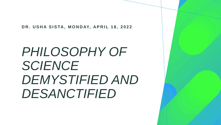**DR. USHA SISTA, MONDAY, APRIL 18, 2022**

# *PHILOSOPHY OF SCIENCE DEMYSTIFIED AND DESANCTIFIED*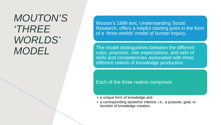## *MOUTON'S 'THREE WORLDS' MODEL*

Mouton's 1996 text, Understanding Social Research, offers a helpful starting point in the form of a 'three worlds' model of human inquiry.

The model distinguishes between the different rules, practices, role expectations, and sets of skills and competencies associated with three different realms of knowledge production.

Each of the three realms comprises

- a unique form of knowledge and
- a corresponding epistemic interest, i.e., a purpose, goal, or function of knowledge creation.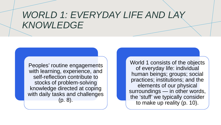## *WORLD 1: EVERYDAY LIFE AND LAY KNOWLEDGE*

Peoples' routine engagements with learning, experience, and self-reflection contribute to stocks of problem-solving knowledge directed at coping with daily tasks and challenges (p. 8).

World 1 consists of the objects of everyday life: individual human beings; groups; social practices; institutions; and the elements of our physical surroundings — in other words, the 'stuff' we typically consider to make up reality (p. 10).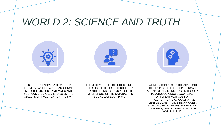### *WORLD 2: SCIENCE AND TRUTH*





HERE, THE PHENOMENA OF WORLD 1 (I.E., EVERYDAY LIFE) ARE TRANSFORMED INTO OBJECTS FOR SYSTEMATIC AND RIGOROUS STUDY, I.E., INTO SCIENTIFIC OBJECTS OF INVESTIGATION (PP. 8–9).

THE MOTIVATING EPISTEMIC INTEREST HERE IS THE DESIRE TO PRODUCE A TRUTHFUL UNDERSTANDING OF THE OPERATIONS OF THE NATURAL AND SOCIAL WORLDS (PP. 8–9).

WORLD 2 COMPRISES: THE ACADEMIC DISCIPLINES OF THE SOCIAL, HUMAN, AND NATURAL SCIENCES (CRIMINOLOGY, PSYCHOLOGY, SOCIOLOGY, ETC.); DIFFERENT METHODS FOR INVESTIGATION (E.G., QUALITATIVE VERSUS QUANTITATIVE TECHNIQUES); SCIENTIFIC HYPOTHESES, MODELS, AND THEORIES; AND ALL THE OBJECTS OF WORLD 1 (P. 10).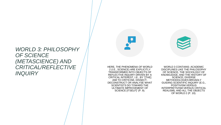### *WORLD 3: PHILOSOPHY OF SCIENCE (METASCIENCE) AND CRITICAL/REFLECTIVE INQUIRY*

HERE, THE PHENOMENA OF WORLD 2 (I.E., SCIENCE) ARE EXPLICITLY TRANSFORMED INTO OBJECTS OF REFLECTIVE INQUIRY DRIVEN BY A CRITICAL INTEREST, I.E., BY "[THE] AIM TO CRITICISE, DISSECT, DECONSTRUCT OR ANALYSE WHAT SCIENTISTS DO TOWARD THE ULTIMATE IMPROVEMENT OF SCIENCE [ITSELF]" (P. 9).

WORLD 3 CONTAINS: ACADEMIC DISCIPLINES LIKE THE PHILOSOPHY OF SCIENCE, THE SOCIOLOGY OF KNOWLEDGE, AND THE HISTORY OF SCIENCE; DIVERSE METHODOLOGIES BROADLY GUIDING SCIENTIFIC INQUIRY (E.G., POSITIVISM VERSUS INTERPRETIVISM VERSUS CRITICAL REALISM); AND ALL THE OBJECTS OF WORLD 2 (P. 10).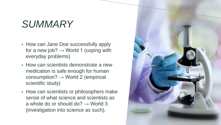# *SUMMARY*

- How can Jane Doe successfully apply for a new job?  $\rightarrow$  World 1 (coping with everyday problems)
- How can scientists demonstrate a new medication is safe enough for human consumption?  $\rightarrow$  World 2 (empirical scientific study)
- How can scientists or philosophers make sense of what science and scientists as a whole do or should do?  $\rightarrow$  World 3 (investigation into science as such).

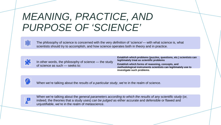## *MEANING, PRACTICE, AND PURPOSE OF 'SCIENCE'*



The philosophy of science is concerned with the very *definition* of 'science'— with what science is, what scientists should try to accomplish, and how science operates both in theory and in practice.



In other words, the philosophy of science — the study of science as such — seeks to:

**Establish which problems (puzzles, questions, etc.) scientists can legitimately treat as** *scientific* **problems Establish which forms of reasoning, concepts, and methodological instruments scientists can legitimately use to investigate such problems**.



When we're talking about the *results of a particular study*, we're in the realm of science.



When we're talking about the *general parameters according to which the results of any scientific study* (or, indeed, the theories that a study uses) *can be judged* as either accurate and defensible or flawed and unjustifiable, we're in the realm of metascience.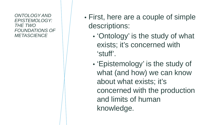*ONTOLOGY AND EPISTEMOLOGY: THE TWO FOUNDATIONS OF METASCIENCE*

- First, here are a couple of simple descriptions:
	- 'Ontology' is the study of what exists; it's concerned with 'stuff'.
	- 'Epistemology' is the study of what (and how) we can know about what exists; it's concerned with the production and limits of human knowledge.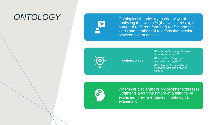### *ONTOLOGY* Ontological theories try to offer ways of



analyzing that which *is* (that which exists), the nature of (different forms of) *reality*, and the kinds and numbers of *relations* that persist between extant entities.



#### Ontology asks:

*What is reality made of? How is reality structured?*

*What sorts of things can scientists investigate?*

*What types of associations exist amongst and between objects?*



Whenever a scientist or philosopher expresses judgments about the nature of a thing to be explained, they're engaged in ontological examination.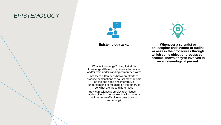### *EPISTEMOLOGY*



#### **Epistemology asks:**

What is knowledge? How, if at all, is knowledge different from mere information and/or from understanding/comprehension?

Are there differences between efforts to produce explanations of causal mechanisms on the one hand and interpretive understanding of meaning on the other? If so, what are these differences?

How can scientists employ techniques modes of logic, methodological instruments — in order to effectively come to know something?



**Whenever a scientist or philosopher endeavours to outline or assess the procedures through which some object or process can become known, they're involved in an epistemological pursuit.**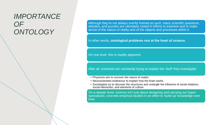### *IMPORTANCE OF ONTOLOGY*

Although they're not always overtly framed as such, many scientific questions, debates, and puzzles are ultimately rooted in efforts to examine and to make sense of the nature of reality and of the objects and processes within it.

In other words, **ontological problems rest at the heart of science**.

On one level, this is readily apparent.

After all, scientists are constantly trying to explain the 'stuff' they investigate:

- Physicists aim to uncover the nature of matter.
- Neuroscientists endeavour to explain how the brain works.
- Sociologists try to discover the structures and untangle the influence of social relations, social interaction, and elements of culture.

On a deeper level, science *isn't* just about designing and carrying out hyperspecialized, concrete empirical studies in an effort to 'build up' knowledge over time.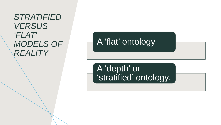*STRATIFIED VERSUS 'FLAT' MODELS OF REALITY*

A 'flat' ontology

A 'depth' or 'stratified' ontology.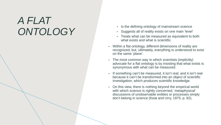# *A FLAT*  • Is the defining ontology of mainstream science<br>• Suggests all of reality exists on one main 'level

- 
- Suggests all of reality exists on one main 'level'
- Treats what can be measured as equivalent to both what exists and what is scientific.
- Within a flat ontology, different dimensions of reality are recognized, but, ultimately, everything is understood to exist on the same 'plane'.
- The most common way in which scientists (implicitly) advocate for a flat ontology is by insisting that what exists is synonymous with what can be measured.
- If something can't be measured, it isn't real; and it isn't real because it can't be transformed into an object of scientific investigation, which produces scientific knowledge.
- On this view, there is nothing beyond the empirical world with which science is rightly concerned; 'metaphysical' discussions of unobservable entities or processes simply don't belong in science (Keat and Urry, 1975, p. 82).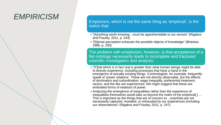### *EMPIRICISM*

Empiricism, which is not the same thing as 'empirical', is the notion that:

- "[A]nything worth knowing…must be apprehendable to our senses" (Rigakos and Frauley, 2011, p. 243)
- "[S]ense-perception exhausts the possible objects of knowledge" (Bhaskar, 1986, p. 230).

The problem with empiricism, however, is that acceptance of a flat ontology necessarily leads to incomplete and fractured scientific investigation and analysis:

- "[T]hat which is in fact real is greater than what human beings might be able to directly experience, including processes that have a hand in the emergence of actually existing things. Criminologists, for example, frequently speak of 'power relations'. These are not directly observable, but the effects of domination and subordination, wage inequality, preferential treatment, racism, and the like are experienced. We might suggest that these are embodied forms of relations of power.
- Analyzing the emergence of inequalities rather than the experience of inequalities themselves would take us beyond the realm of the empirical[.] … This is important as the things that are of concern to…scientists are not necessarily captured, revealed, or exhausted by our experiences (including our observations)" (Rigakos and Frauley, 2011, p. 247).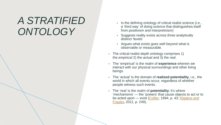# *A STRATIFIED ONTOLOGY*

- Is the defining ontology of critical realist science (i.e., a 'third way' of doing science that distinguishes itself from positivism and interpretivism)
- Suggests reality exists across three analytically distinct 'levels'
- Argues what exists goes well beyond what is observable or measurable.
- The critical realist depth ontology comprises 1) the *empirical* 2) the *actual* and 3) the *real*.
- The 'empirical' is the realm of **experience** wherein we interact with our physical surroundings and other living beings.
- The 'actual' is the domain of **realized potentiality**, i.e., the world in which all events occur, regardless of whether people witness such events.
- The 'real' is the realm of **potentiality**; it's where 'mechanisms' — the 'powers' that cause objects to act or to be acted upon — exist ([Collier,](https://amzn.to/2XllWv4) 1994, p. 43; [Rigakos and](https://www.researchgate.net/publication/291830089_The_Promise_of_Critical_Realism_Toward_a_Post-Empiricist_Criminology)  [Frauley](https://www.researchgate.net/publication/291830089_The_Promise_of_Critical_Realism_Toward_a_Post-Empiricist_Criminology), 2011, p. 249).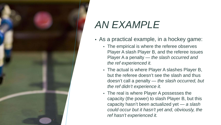

# *AN EXAMPLE*

- As a practical example, in a hockey game:
	- The empirical is where the referee observes Player A slash Player B, and the referee issues Player A a penalty — *the slash occurred and the ref experienced it.*
	- The actual is where Player A slashes Player B, but the referee doesn't see the slash and thus doesn't call a penalty — *the slash occurred, but the ref didn't experience it.*
	- The real is where Player A possesses the capacity (the power) to slash Player B, but this capacity hasn't been actualized yet — *a slash could occur but it hasn't yet and, obviously, the ref hasn't experienced it.*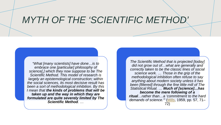### *MYTH OF THE 'SCIENTIFIC METHOD'*

*"What [many scientists] have done…is to embrace one [particular] philosophy of science[,] which they now suppose to be The Scientific Method. This model of research is largely an epistemological construction; within the social sciences, its most decisive result has been a sort of methodological inhibition. By this I mean that the kinds of problems that will be taken up and the way in which they are formulated are quite severely limited by The Scientific Method. …*

*The Scientific Method that is projected [today] did not grow out of…what are generally and correctly taken to be the classic lines of social science work. … Those in the grip of the methodological inhibition often refuse to say anything about modern society unless it has been [filtered] through the fine little mill of The Statistical Ritual. … Much of [science]…has become the mere following of a ritual…rather than…a 'commitment to the hard demands of science.'"* [\(Mills](https://amzn.to/2WGFh5L), 1959, pp. 57, 71– 72)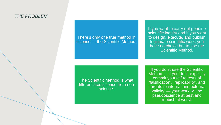#### *THE PROBLEM*

There's only one true method in science — the Scientific Method.

If you want to carry out genuine scientific inquiry and if you want to design, execute, and publish legitimate scientific work, you have no choice but to use the Scientific Method.

The Scientific Method is what differentiates science from nonscience.

If you don't use the Scientific Method — if you don't explicitly commit yourself to tests of 'falsification', 'replicability', and 'threats to internal and external validity' — your work will be pseudoscience at best and rubbish at worst.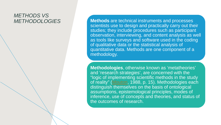# *METHODS VS*

*METHODOLOGIES* **Methods** are technical instruments and processes scientists use to design and practically carry out their studies; they include procedures such as participant observation, interviewing, and content analysis as well as tools like surveys and software used in the coding of qualitative data or the statistical analysis of quantitative data. Methods are one component of a methodology.

> **Methodologies**, otherwise known as 'metatheories' and 'research strategies', are concerned with the "logic of implementing scientific methods in the study of reality" [\(Mouton](https://amzn.to/2WKYd35), 1988, p. 15). Methodologies each distinguish themselves on the basis of ontological assumptions, epistemological principles, modes of inference, use of concepts and theories, and status of the outcomes of research.